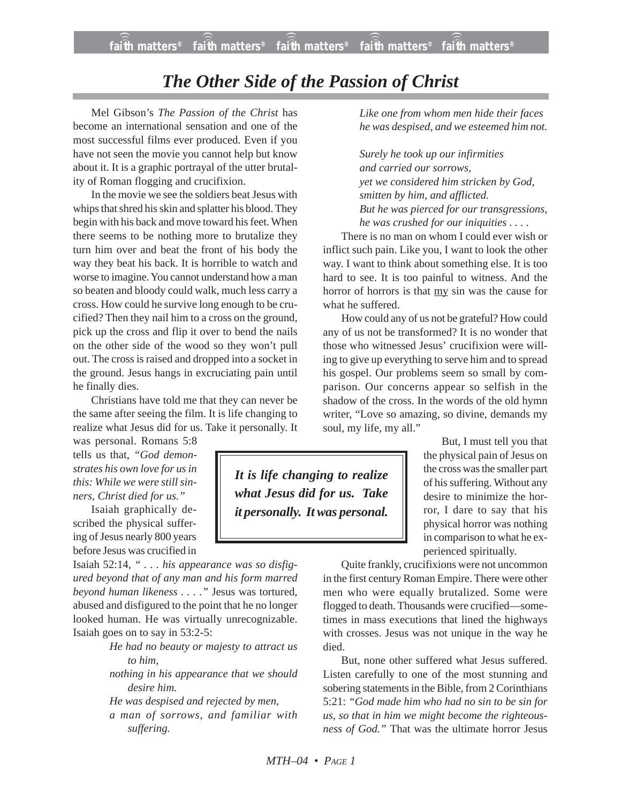## *The Other Side of the Passion of Christ*

Mel Gibson's *The Passion of the Christ* has become an international sensation and one of the most successful films ever produced. Even if you have not seen the movie you cannot help but know about it. It is a graphic portrayal of the utter brutality of Roman flogging and crucifixion.

In the movie we see the soldiers beat Jesus with whips that shred his skin and splatter his blood. They begin with his back and move toward his feet. When there seems to be nothing more to brutalize they turn him over and beat the front of his body the way they beat his back. It is horrible to watch and worse to imagine. You cannot understand how a man so beaten and bloody could walk, much less carry a cross. How could he survive long enough to be crucified? Then they nail him to a cross on the ground, pick up the cross and flip it over to bend the nails on the other side of the wood so they won't pull out. The cross is raised and dropped into a socket in the ground. Jesus hangs in excruciating pain until he finally dies.

Christians have told me that they can never be the same after seeing the film. It is life changing to realize what Jesus did for us. Take it personally. It

was personal. Romans 5:8 tells us that, *"God demonstrates his own love for us in this: While we were still sinners, Christ died for us."*

Isaiah graphically described the physical suffering of Jesus nearly 800 years before Jesus was crucified in

Isaiah 52:14, *" . . . his appearance was so disfigured beyond that of any man and his form marred beyond human likeness . . . ."* Jesus was tortured, abused and disfigured to the point that he no longer looked human. He was virtually unrecognizable. Isaiah goes on to say in 53:2-5:

- *He had no beauty or majesty to attract us to him,*
- *nothing in his appearance that we should desire him.*
- *He was despised and rejected by men,*
- *a man of sorrows, and familiar with suffering.*

*Like one from whom men hide their faces he was despised, and we esteemed him not.*

*Surely he took up our infirmities and carried our sorrows, yet we considered him stricken by God, smitten by him, and afflicted. But he was pierced for our transgressions, he was crushed for our iniquities . . . .*

There is no man on whom I could ever wish or inflict such pain. Like you, I want to look the other way. I want to think about something else. It is too hard to see. It is too painful to witness. And the horror of horrors is that my sin was the cause for what he suffered.

How could any of us not be grateful? How could any of us not be transformed? It is no wonder that those who witnessed Jesus' crucifixion were willing to give up everything to serve him and to spread his gospel. Our problems seem so small by comparison. Our concerns appear so selfish in the shadow of the cross. In the words of the old hymn writer, "Love so amazing, so divine, demands my soul, my life, my all."

> But, I must tell you that the physical pain of Jesus on the cross was the smaller part of his suffering. Without any desire to minimize the horror, I dare to say that his physical horror was nothing in comparison to what he experienced spiritually.

Quite frankly, crucifixions were not uncommon in the first century Roman Empire. There were other men who were equally brutalized. Some were flogged to death. Thousands were crucified—sometimes in mass executions that lined the highways with crosses. Jesus was not unique in the way he died.

But, none other suffered what Jesus suffered. Listen carefully to one of the most stunning and sobering statements in the Bible, from 2 Corinthians 5:21: *"God made him who had no sin to be sin for us, so that in him we might become the righteousness of God."* That was the ultimate horror Jesus

*It is life changing to realize what Jesus did for us. Take it personally. It was personal.*